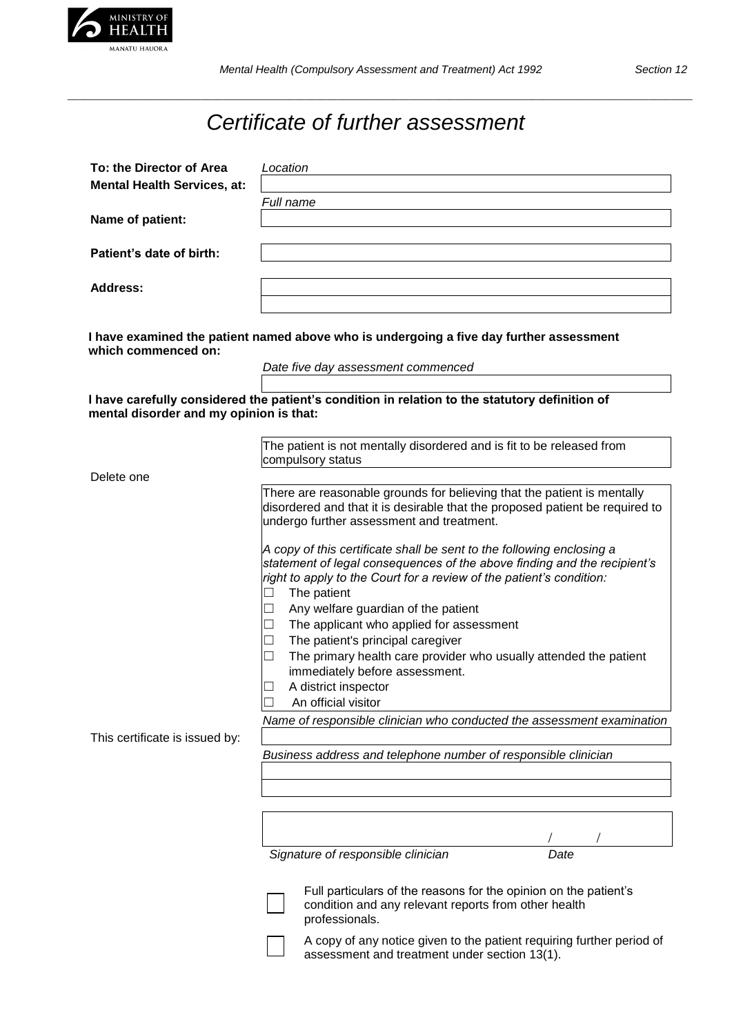

*\_\_\_\_\_\_\_\_\_\_\_\_\_\_\_\_\_\_\_\_\_\_\_\_\_\_\_\_\_\_\_\_\_\_\_\_\_\_\_\_\_\_\_\_\_\_\_\_\_\_\_\_\_\_\_\_\_\_\_\_\_\_\_\_\_\_\_\_\_\_\_\_\_\_\_\_\_\_\_\_\_\_\_\_\_\_\_\_\_\_\_\_\_\_\_\_\_\_\_\_\_\_\_\_\_\_\_\_\_\_\_\_\_*

## *Certificate of further assessment*

| To: the Director of Area                                                                                       | Location                                                                                                                                                                                                                                           |
|----------------------------------------------------------------------------------------------------------------|----------------------------------------------------------------------------------------------------------------------------------------------------------------------------------------------------------------------------------------------------|
| <b>Mental Health Services, at:</b>                                                                             |                                                                                                                                                                                                                                                    |
|                                                                                                                | Full name                                                                                                                                                                                                                                          |
| Name of patient:                                                                                               |                                                                                                                                                                                                                                                    |
|                                                                                                                |                                                                                                                                                                                                                                                    |
| Patient's date of birth:                                                                                       |                                                                                                                                                                                                                                                    |
| <b>Address:</b>                                                                                                |                                                                                                                                                                                                                                                    |
|                                                                                                                |                                                                                                                                                                                                                                                    |
|                                                                                                                |                                                                                                                                                                                                                                                    |
| I have examined the patient named above who is undergoing a five day further assessment<br>which commenced on: |                                                                                                                                                                                                                                                    |
|                                                                                                                | Date five day assessment commenced                                                                                                                                                                                                                 |
|                                                                                                                |                                                                                                                                                                                                                                                    |
| mental disorder and my opinion is that:                                                                        | I have carefully considered the patient's condition in relation to the statutory definition of                                                                                                                                                     |
|                                                                                                                |                                                                                                                                                                                                                                                    |
|                                                                                                                | The patient is not mentally disordered and is fit to be released from                                                                                                                                                                              |
|                                                                                                                | compulsory status                                                                                                                                                                                                                                  |
| Delete one                                                                                                     |                                                                                                                                                                                                                                                    |
|                                                                                                                | There are reasonable grounds for believing that the patient is mentally<br>disordered and that it is desirable that the proposed patient be required to<br>undergo further assessment and treatment.                                               |
|                                                                                                                | A copy of this certificate shall be sent to the following enclosing a<br>statement of legal consequences of the above finding and the recipient's<br>right to apply to the Court for a review of the patient's condition:<br>The patient<br>$\Box$ |
|                                                                                                                | Any welfare guardian of the patient                                                                                                                                                                                                                |
|                                                                                                                | The applicant who applied for assessment                                                                                                                                                                                                           |
|                                                                                                                | The patient's principal caregiver<br>$\Box$<br>The primary health care provider who usually attended the patient                                                                                                                                   |
|                                                                                                                | immediately before assessment.                                                                                                                                                                                                                     |
|                                                                                                                | A district inspector                                                                                                                                                                                                                               |
|                                                                                                                | An official visitor                                                                                                                                                                                                                                |
|                                                                                                                | Name of responsible clinician who conducted the assessment examination                                                                                                                                                                             |
| This certificate is issued by:                                                                                 |                                                                                                                                                                                                                                                    |
|                                                                                                                | Business address and telephone number of responsible clinician                                                                                                                                                                                     |
|                                                                                                                |                                                                                                                                                                                                                                                    |
|                                                                                                                |                                                                                                                                                                                                                                                    |
|                                                                                                                |                                                                                                                                                                                                                                                    |
|                                                                                                                |                                                                                                                                                                                                                                                    |

*Signature of responsible clinician Date*



Full particulars of the reasons for the opinion on the patient's condition and any relevant reports from other health professionals.

A copy of any notice given to the patient requiring further period of assessment and treatment under section 13(1).